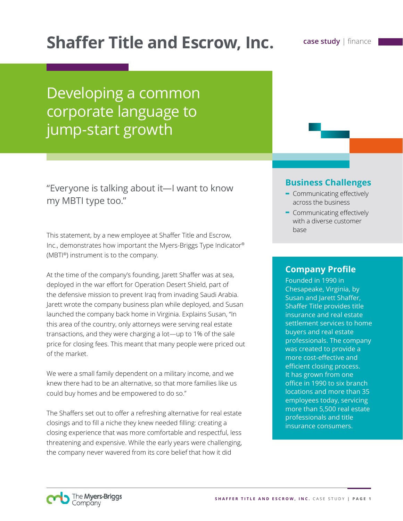# **Shaffer Title and Escrow, Inc. case study | finance**

# Developing a common corporate language to jump-start growth

"Everyone is talking about it—I want to know my MBTI type too."

This statement, by a new employee at Shaffer Title and Escrow, Inc., demonstrates how important the Myers-Briggs Type Indicator® (MBTI®) instrument is to the company.

At the time of the company's founding, Jarett Shaffer was at sea, deployed in the war effort for Operation Desert Shield, part of the defensive mission to prevent Iraq from invading Saudi Arabia. Jarett wrote the company business plan while deployed, and Susan launched the company back home in Virginia. Explains Susan, "In this area of the country, only attorneys were serving real estate transactions, and they were charging a lot—up to 1% of the sale price for closing fees. This meant that many people were priced out of the market.

We were a small family dependent on a military income, and we knew there had to be an alternative, so that more families like us could buy homes and be empowered to do so."

The Shaffers set out to offer a refreshing alternative for real estate closings and to fill a niche they knew needed filling: creating a closing experience that was more comfortable and respectful, less threatening and expensive. While the early years were challenging, the company never wavered from its core belief that how it did

## **Business Challenges**

- **-** Communicating effectively across the business
- **-** Communicating effectively with a diverse customer base

## **Company Profile**

Founded in 1990 in Chesapeake, Virginia, by Susan and Jarett Shaffer, Shaffer Title provides title insurance and real estate settlement services to home buyers and real estate professionals. The company was created to provide a more cost-effective and efficient closing process. It has grown from one office in 1990 to six branch locations and more than 35 employees today, servicing more than 5,500 real estate professionals and title insurance consumers.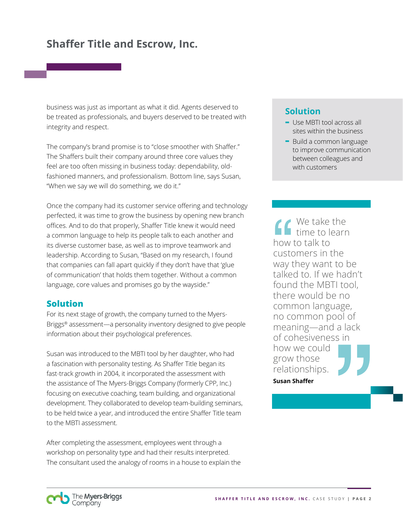business was just as important as what it did. Agents deserved to be treated as professionals, and buyers deserved to be treated with integrity and respect.

The company's brand promise is to "close smoother with Shaffer." The Shaffers built their company around three core values they feel are too often missing in business today: dependability, oldfashioned manners, and professionalism. Bottom line, says Susan, "When we say we will do something, we do it."

Once the company had its customer service offering and technology perfected, it was time to grow the business by opening new branch offices. And to do that properly, Shaffer Title knew it would need a common language to help its people talk to each another and its diverse customer base, as well as to improve teamwork and leadership. According to Susan, "Based on my research, I found that companies can fall apart quickly if they don't have that 'glue of communication' that holds them together. Without a common language, core values and promises go by the wayside."

## **Solution**

For its next stage of growth, the company turned to the Myers-Briggs® assessment—a personality inventory designed to give people information about their psychological preferences.

Susan was introduced to the MBTI tool by her daughter, who had a fascination with personality testing. As Shaffer Title began its fast-track growth in 2004, it incorporated the assessment with the assistance of The Myers-Briggs Company (formerly CPP, Inc.) focusing on executive coaching, team building, and organizational development. They collaborated to develop team-building seminars, to be held twice a year, and introduced the entire Shaffer Title team to the MBTI assessment.

After completing the assessment, employees went through a workshop on personality type and had their results interpreted. The consultant used the analogy of rooms in a house to explain the

## **Solution**

- **-** Use MBTI tool across all sites within the business
- **-** Build a common language to improve communication between colleagues and with customers

We take the time to learn how to talk to customers in the way they want to be talked to. If we hadn't found the MBTI tool, there would be no common language, no common pool of meaning—and a lack of cohesiveness in how we could grow those relationships.

**Susan Shaffer**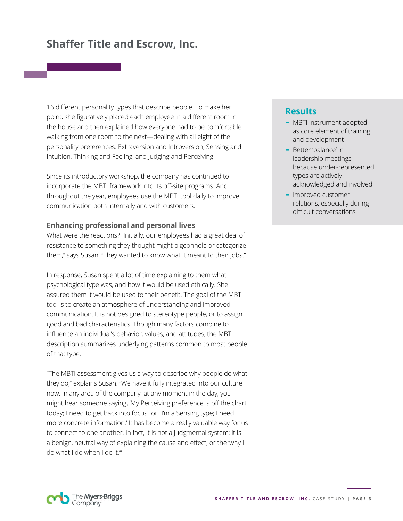16 different personality types that describe people. To make her point, she figuratively placed each employee in a different room in the house and then explained how everyone had to be comfortable walking from one room to the next—dealing with all eight of the personality preferences: Extraversion and Introversion, Sensing and Intuition, Thinking and Feeling, and Judging and Perceiving.

Since its introductory workshop, the company has continued to incorporate the MBTI framework into its off-site programs. And throughout the year, employees use the MBTI tool daily to improve communication both internally and with customers.

#### **Enhancing professional and personal lives**

What were the reactions? "Initially, our employees had a great deal of resistance to something they thought might pigeonhole or categorize them," says Susan. "They wanted to know what it meant to their jobs."

In response, Susan spent a lot of time explaining to them what psychological type was, and how it would be used ethically. She assured them it would be used to their benefit. The goal of the MBTI tool is to create an atmosphere of understanding and improved communication. It is not designed to stereotype people, or to assign good and bad characteristics. Though many factors combine to influence an individual's behavior, values, and attitudes, the MBTI description summarizes underlying patterns common to most people of that type.

"The MBTI assessment gives us a way to describe why people do what they do," explains Susan. "We have it fully integrated into our culture now. In any area of the company, at any moment in the day, you might hear someone saying, 'My Perceiving preference is off the chart today; I need to get back into focus,' or, 'I'm a Sensing type; I need more concrete information.' It has become a really valuable way for us to connect to one another. In fact, it is not a judgmental system; it is a benign, neutral way of explaining the cause and effect, or the 'why I do what I do when I do it.'"

### **Results**

- **-** MBTI instrument adopted as core element of training and development
- **-** Better 'balance' in leadership meetings because under-represented types are actively acknowledged and involved
- **-** Improved customer relations, especially during difficult conversations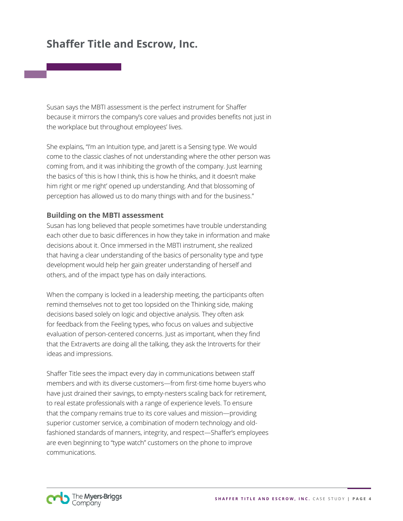Susan says the MBTI assessment is the perfect instrument for Shaffer because it mirrors the company's core values and provides benefits not just in the workplace but throughout employees' lives.

She explains, "I'm an Intuition type, and Jarett is a Sensing type. We would come to the classic clashes of not understanding where the other person was coming from, and it was inhibiting the growth of the company. Just learning the basics of 'this is how I think, this is how he thinks, and it doesn't make him right or me right' opened up understanding. And that blossoming of perception has allowed us to do many things with and for the business."

#### **Building on the MBTI assessment**

Susan has long believed that people sometimes have trouble understanding each other due to basic differences in how they take in information and make decisions about it. Once immersed in the MBTI instrument, she realized that having a clear understanding of the basics of personality type and type development would help her gain greater understanding of herself and others, and of the impact type has on daily interactions.

When the company is locked in a leadership meeting, the participants often remind themselves not to get too lopsided on the Thinking side, making decisions based solely on logic and objective analysis. They often ask for feedback from the Feeling types, who focus on values and subjective evaluation of person-centered concerns. Just as important, when they find that the Extraverts are doing all the talking, they ask the Introverts for their ideas and impressions.

Shaffer Title sees the impact every day in communications between staff members and with its diverse customers—from first-time home buyers who have just drained their savings, to empty-nesters scaling back for retirement, to real estate professionals with a range of experience levels. To ensure that the company remains true to its core values and mission—providing superior customer service, a combination of modern technology and oldfashioned standards of manners, integrity, and respect—Shaffer's employees are even beginning to "type watch" customers on the phone to improve communications.

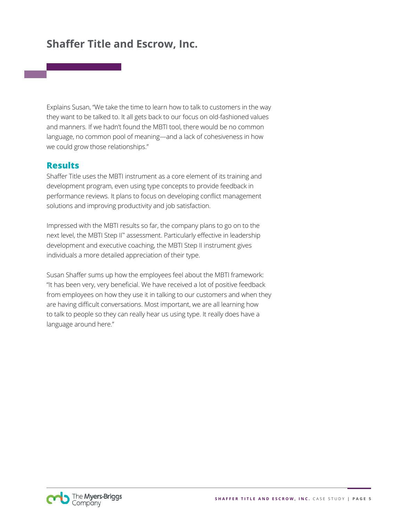Explains Susan, "We take the time to learn how to talk to customers in the way they want to be talked to. It all gets back to our focus on old-fashioned values and manners. If we hadn't found the MBTI tool, there would be no common language, no common pool of meaning—and a lack of cohesiveness in how we could grow those relationships."

## **Results**

Shaffer Title uses the MBTI instrument as a core element of its training and development program, even using type concepts to provide feedback in performance reviews. It plans to focus on developing conflict management solutions and improving productivity and job satisfaction.

Impressed with the MBTI results so far, the company plans to go on to the next level, the MBTI Step II™ assessment. Particularly effective in leadership development and executive coaching, the MBTI Step II instrument gives individuals a more detailed appreciation of their type.

Susan Shaffer sums up how the employees feel about the MBTI framework: "It has been very, very beneficial. We have received a lot of positive feedback from employees on how they use it in talking to our customers and when they are having difficult conversations. Most important, we are all learning how to talk to people so they can really hear us using type. It really does have a language around here."